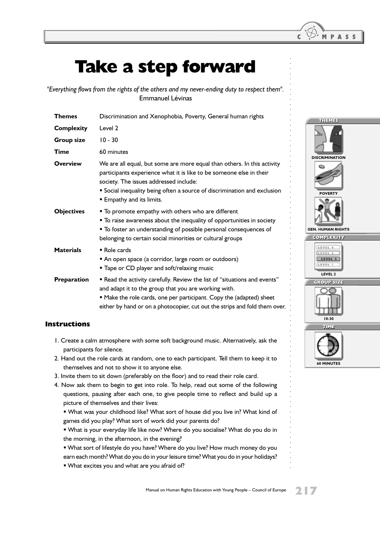# Take a step forward

|                           | verything flows from the rights of the others and my never-ending duty to respect them".<br><b>Emmanuel Lévinas</b>                                                                                                                                                                                   |
|---------------------------|-------------------------------------------------------------------------------------------------------------------------------------------------------------------------------------------------------------------------------------------------------------------------------------------------------|
| <b>Themes</b>             | Discrimination and Xenophobia, Poverty, General human rights                                                                                                                                                                                                                                          |
| <b>Complexity</b>         | Level 2                                                                                                                                                                                                                                                                                               |
| <b>Group size</b>         | $10 - 30$                                                                                                                                                                                                                                                                                             |
| Time                      | 60 minutes                                                                                                                                                                                                                                                                                            |
| <b>Overview</b>           | We are all equal, but some are more equal than others. In this activity<br>participants experience what it is like to be someone else in their<br>society. The issues addressed include:<br>Social inequality being often a source of discrimination and exclusion<br><b>Empathy and its limits.</b>  |
| <b>Objectives</b>         | " To promote empathy with others who are different<br>" To raise awareness about the inequality of opportunities in society<br>" To foster an understanding of possible personal consequences of<br>belonging to certain social minorities or cultural groups                                         |
| <b>Materials</b>          | $\blacksquare$ Role cards<br>An open space (a corridor, large room or outdoors)<br>" Tape or CD player and soft/relaxing music                                                                                                                                                                        |
| Preparation               | " Read the activity carefully. Review the list of "situations and events"<br>and adapt it to the group that you are working with.<br>" Make the role cards, one per participant. Copy the (adapted) sheet<br>either by hand or on a photocopier, cut out the strips and fold them over.               |
| structions                |                                                                                                                                                                                                                                                                                                       |
| participants for silence. | I. Create a calm atmosphere with some soft background music. Alternatively, ask the                                                                                                                                                                                                                   |
|                           | 2. Hand out the role cards at random, one to each participant. Tell them to keep it to<br>themselves and not to show it to anyone else.                                                                                                                                                               |
|                           | 3. Invite them to sit down (preferably on the floor) and to read their role card.<br>4. Now ask them to begin to get into role. To help, read out some of the following<br>questions, pausing after each one, to give people time to reflect and build up a<br>picture of themselves and their lives: |
|                           | " What was your childhood like? What sort of house did you live in? What kind of<br>games did you play? What sort of work did your parents do?<br>" What is your everyday life like now? Where do you socialise? What do you do in                                                                    |
|                           | the morning, in the afternoon, in the evening?                                                                                                                                                                                                                                                        |
|                           | " What sort of lifestyle do you have? Where do you live? How much money do you                                                                                                                                                                                                                        |
|                           | earn each month? What do you do in your leisure time? What you do in your holidays?                                                                                                                                                                                                                   |

### Instructions

- 1. Create a calm atmosphere with some soft background music. Alternatively, ask the participants for silence.
- 2. Hand out the role cards at random, one to each participant. Tell them to keep it to themselves and not to show it to anyone else.
- 3. Invite them to sit down (preferably on the floor) and to read their role card.
- 4. Now ask them to begin to get into role. To help, read out some of the following questions, pausing after each one, to give people time to reflect and build up a picture of themselves and their lives:



 $\overline{C}$   $\overline{C}$   $\overline{M}$   $\overline{P}$   $\overline{A}$   $\overline{S}$   $\overline{S}$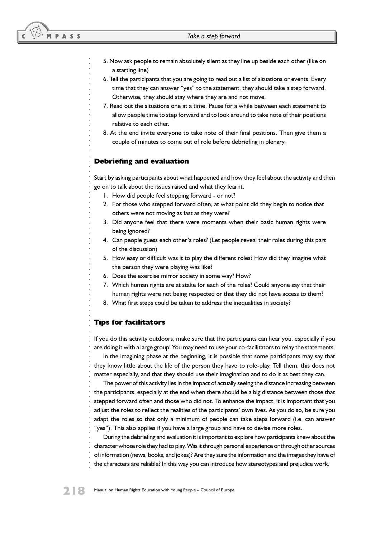- 5. Now ask people to remain absolutely silent as they line up beside each other (like on a starting line)
- 6. Tell the participants that you are going to read out a list of situations or events. Every time that they can answer "yes" to the statement, they should take a step forward. Otherwise, they should stay where they are and not move.
- 7. Read out the situations one at a time. Pause for a while between each statement to allow people time to step forward and to look around to take note of their positions relative to each other.
- 8. At the end invite everyone to take note of their final positions. Then give them a couple of minutes to come out of role before debriefing in plenary.

### Debriefing and evaluation

aaaaaaaaaaaaaaaaaaaaaaaaaaaaaaaaaaaaaaaaaaaaaaaaaaaaaaaaa

Start by asking participants about what happened and how they feel about the activity and then go on to talk about the issues raised and what they learnt.

- 1. How did people feel stepping forward or not?
- 2. For those who stepped forward often, at what point did they begin to notice that others were not moving as fast as they were?
- 3. Did anyone feel that there were moments when their basic human rights were being ignored?
- 4. Can people guess each other's roles? (Let people reveal their roles during this part of the discussion)
- 5. How easy or difficult was it to play the different roles? How did they imagine what the person they were playing was like?
- 6. Does the exercise mirror society in some way? How?
- 7. Which human rights are at stake for each of the roles? Could anyone say that their human rights were not being respected or that they did not have access to them?
- 8. What first steps could be taken to address the inequalities in society?

# Tips for facilitators

If you do this activity outdoors, make sure that the participants can hear you, especially if you are doing it with a large group! You may need to use your co-facilitators to relay the statements. In the imagining phase at the beginning, it is possible that some participants may say that they know little about the life of the person they have to role-play. Tell them, this does not matter especially, and that they should use their imagination and to do it as best they can.

The power of this activity lies in the impact of actually seeing the distance increasing between the participants, especially at the end when there should be a big distance between those that stepped forward often and those who did not. To enhance the impact, it is important that you adjust the roles to reflect the realities of the participants' own lives. As you do so, be sure you adapt the roles so that only a minimum of people can take steps forward (i.e. can answer "yes"). This also applies if you have a large group and have to devise more roles.

During the debriefing and evaluation it is important to explore how participants knew about the character whose role they had to play. Was it through personal experience or through other sources of information (news, books, and jokes)? Are they sure the information and the images they have of the characters are reliable? In this way you can introduce how stereotypes and prejudice work.

aaaaaaaaaaaaaaaaaaaaaaaa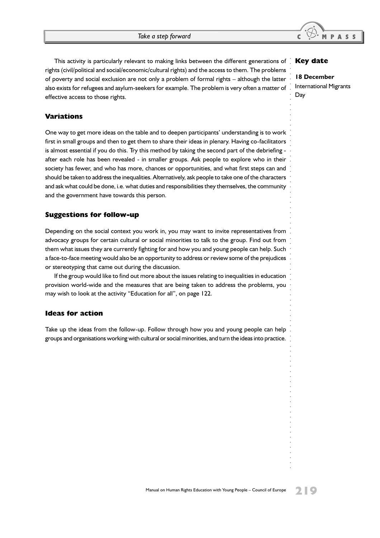

This activity is particularly relevant to making links between the different generations of  $\left\| \right.$  Key date rights (civil/political and social/economic/cultural rights) and the access to them. The problems of poverty and social exclusion are not only a problem of formal rights – although the latter also exists for refugees and asylum-seekers for example. The problem is very often a matter of effective access to those rights.

### **Variations**

to making links between the different generations of **CMES**<br>
Colutural rights) and the access to them. The problems<br>
conly a problem of formal rights – although the latter<br>
there for example. The problem is very often a ma One way to get more ideas on the table and to deepen participants' understanding is to work first in small groups and then to get them to share their ideas in plenary. Having co-facilitators is almost essential if you do this. Try this method by taking the second part of the debriefing after each role has been revealed - in smaller groups. Ask people to explore who in their society has fewer, and who has more, chances or opportunities, and what first steps can and should be taken to address the inequalities. Alternatively, ask people to take one of the characters and ask what could be done, i.e. what duties and responsibilities they themselves, the community and the government have towards this person.

### Suggestions for follow-up

Depending on the social context you work in, you may want to invite representatives from advocacy groups for certain cultural or social minorities to talk to the group. Find out from them what issues they are currently fighting for and how you and young people can help. Such a face-to-face meeting would also be an opportunity to address or review some of the prejudices or stereotyping that came out during the discussion.

If the group would like to find out more about the issues relating to inequalities in education provision world-wide and the measures that are being taken to address the problems, you may wish to look at the activity "Education for all", on page 122.

### Ideas for action

Take up the ideas from the follow-up. Follow through how you and young people can help groups and organisations working with cultural or social minorities, and turn the ideas into practice.

### 18 December

International Migrants Day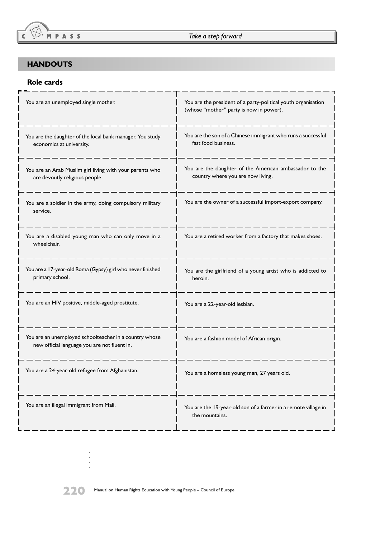

### Take a step forward

# **HANDOUTS**

## Role cards

| <b>Role cards</b>                                                                                      |                                                                                                          |  |  |
|--------------------------------------------------------------------------------------------------------|----------------------------------------------------------------------------------------------------------|--|--|
|                                                                                                        |                                                                                                          |  |  |
| You are an unemployed single mother.                                                                   | You are the president of a party-political youth organisation<br>(whose "mother" party is now in power). |  |  |
| You are the daughter of the local bank manager. You study<br>economics at university.                  | You are the son of a Chinese immigrant who runs a successful<br>fast food business.                      |  |  |
| You are an Arab Muslim girl living with your parents who<br>are devoutly religious people.             | You are the daughter of the American ambassador to the<br>country where you are now living.              |  |  |
| You are a soldier in the army, doing compulsory military<br>service.                                   | You are the owner of a successful import-export company.                                                 |  |  |
| You are a disabled young man who can only move in a<br>wheelchair.                                     | You are a retired worker from a factory that makes shoes.                                                |  |  |
| You are a 17-year-old Roma (Gypsy) girl who never finished<br>primary school.                          | You are the girlfriend of a young artist who is addicted to<br>heroin.                                   |  |  |
| You are an HIV positive, middle-aged prostitute.                                                       | You are a 22-year-old lesbian.                                                                           |  |  |
| You are an unemployed schoolteacher in a country whose<br>new official language you are not fluent in. | You are a fashion model of African origin.                                                               |  |  |
| You are a 24-year-old refugee from Afghanistan.                                                        | You are a homeless young man, 27 years old.                                                              |  |  |
| You are an illegal immigrant from Mali.                                                                | You are the 19-year-old son of a farmer in a remote village in<br>the mountains.                         |  |  |